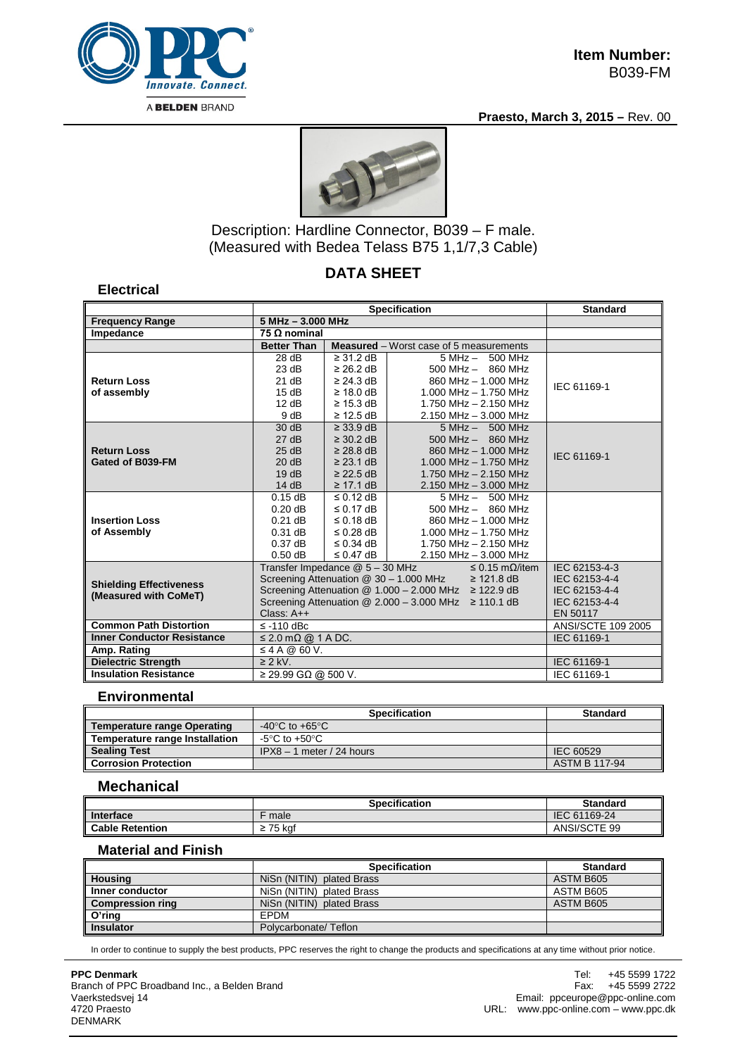

**Electrical**

**Praesto, March 3, 2015 –** Rev. 00



Description: Hardline Connector, B039 – F male. (Measured with Bedea Telass B75 1,1/7,3 Cable)

# **DATA SHEET**

#### **Specification Standard Frequency Range 5 MHz – 3.000 MHz Impedance 75 Ω nominal Measured** – Worst case of 5 measurements **Return Loss of assembly** 28 dB 23 dB 21 dB 15 dB 12 dB 9 dB ≥ 31.2 dB ≥ 26.2 dB ≥ 24.3 dB ≥ 18.0 dB ≥ 15.3 dB ≥ 12.5 dB 5 MHz – 500 MHz 500 MHz – 860 MHz 860 MHz – 1.000 MHz 1.000 MHz – 1.750 MHz 1.750 MHz – 2.150 MHz 2.150 MHz – 3.000 MHz IEC 61169-1 **Return Loss Gated of B039-FM** 30 dB 27 dB 25 dB 20 dB 19 dB 14 dB ≥ 33.9 dB ≥ 30.2 dB ≥ 28.8 dB ≥ 23.1 dB ≥ 22.5 dB ≥ 17.1 dB 5 MHz – 500 MHz 500 MHz – 860 MHz 860 MHz – 1.000 MHz 1.000 MHz – 1.750 MHz 1.750 MHz – 2.150 MHz 2.150 MHz – 3.000 MHz IEC 61169-1 **Insertion Loss of Assembly** 0.15 dB 0.20 dB 0.21 dB 0.31 dB 0.37 dB 0.50 dB ≤ 0.12 dB ≤ 0.17 dB ≤ 0.18 dB ≤ 0.28 dB ≤ 0.34 dB ≤ 0.47 dB 5 MHz – 500 MHz 500 MHz – 860 MHz 860 MHz – 1.000 MHz 1.000 MHz – 1.750 MHz 1.750 MHz – 2.150 MHz 2.150 MHz – 3.000 MHz **Shielding Effectiveness (Measured with CoMeT)** Transfer Impedance @ 5 – 30 MHz Screening Attenuation @ 30 – 1.000 MHz Screening Attenuation @ 1.000 – 2.000 MHz ≥ 122.9 dB Screening Attenuation @ 2.000 – 3.000 MHz ≥ 110.1 dB Class:  $A++$ <br> $\leq$  -110 dBc ≤ 0.15 mΩ/item ≥ 121.8 dB IEC 62153-4-3 IEC 62153-4-4 IEC 62153-4-4 IEC 62153-4-4 EN 50117 **Common Path Distortion** ≤ -110 dBc<br>
Inner Conductor Resistance ≤ 2.0 mΩ @ 1 A DC. IEC 61169-1 **Inner Conductor Resistance Amp. Rating**  $\leq 4 A @ 60 V.$ **Dielectric Strength 22 kV.** 2 ≥ 2 kV. **Insulation Resistance** ≥ 29.99 GΩ @ 500 V. IEC 61169-1

### **Environmental**

|                                       | <b>Specification</b>                 | <b>Standard</b>      |
|---------------------------------------|--------------------------------------|----------------------|
| <b>Temperature range Operating</b>    | -40 $^{\circ}$ C to +65 $^{\circ}$ C |                      |
| <b>Temperature range Installation</b> | -5°C to +50°C                        |                      |
| <b>Sealing Test</b>                   | $IPX8 - 1$ meter / 24 hours          | IEC 60529            |
| <b>Corrosion Protection</b>           |                                      | <b>ASTM B 117-94</b> |

## **Mechanical**

|                        | <b>Specification</b> | <b>Standard</b> |
|------------------------|----------------------|-----------------|
| Interface              | male                 | 61169-24<br>IEC |
| <b>Cable Retention</b> | 75 kaf               | ANSI/SCTE 99    |

### **Material and Finish**

|                         | <b>Specification</b>      | <b>Standard</b> |
|-------------------------|---------------------------|-----------------|
| <b>Housing</b>          | NiSn (NITIN) plated Brass | ASTM B605       |
| Inner conductor         | NiSn (NITIN) plated Brass | ASTM B605       |
| <b>Compression ring</b> | NiSn (NITIN) plated Brass | ASTM B605       |
| O'ring                  | EPDM                      |                 |
| <b>Insulator</b>        | Polycarbonate/Teflon      |                 |

In order to continue to supply the best products, PPC reserves the right to change the products and specifications at any time without prior notice.

**PPC Denmark** Branch of PPC Broadband Inc., a Belden Brand Vaerkstedsvej 14 4720 Praesto DENMARK

Tel: +45 5599 1722<br>Fax: +45 5599 2722 +45 5599 2722 Email: ppceurope@ppc-online.com URL: www.ppc-online.com – www.ppc.dk